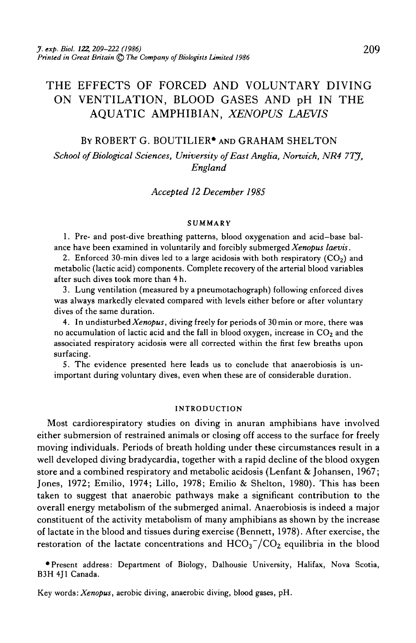# THE EFFECTS OF FORCED AND VOLUNTARY DIVING ON VENTILATION, BLOOD GASES AND pH IN THE AQUATIC AMPHIBIAN, *XENOPUS LAEVIS*

## BY ROBERT G. BOUTILIER\* AND GRAHAM SHELTON

*School of Biological Sciences, University of East Anglia, Nonvich, NR4 7TJ, England*

*Accepted 12 December 1985*

#### SUMMARY

1. Pre- and post-dive breathing patterns, blood oxygenation and acid-base balance have been examined in voluntarily and forcibly submerged *Xenopus laevis.*

2. Enforced 30-min dives led to a large acidosis with both respiratory  $(CO<sub>2</sub>)$  and metabolic (lactic acid) components. Complete recovery of the arterial blood variables after such dives took more than 4h.

3. Lung ventilation (measured by a pneumotachograph) following enforced dives was always markedly elevated compared with levels either before or after voluntary dives of the same duration.

4. In undisturbed *Xenopus,* diving freely for periods of 30 min or more, there was no accumulation of lactic acid and the fall in blood oxygen, increase in  $CO<sub>2</sub>$  and the associated respiratory acidosis were all corrected within the first few breaths upon surfacing.

5. The evidence presented here leads us to conclude that anaerobiosis is unimportant during voluntary dives, even when these are of considerable duration.

### INTRODUCTION

Most cardiorespiratory studies on diving in anuran amphibians have involved either submersion of restrained animals or closing off access to the surface for freely moving individuals. Periods of breath holding under these circumstances result in a well developed diving bradycardia, together with a rapid decline of the blood oxygen store and a combined respiratory and metabolic acidosis (Lenfant & Johansen, 1967; Jones, 1972; Emilio, 1974; Lillo, 1978; Emilio & Shelton, 1980). This has been taken to suggest that anaerobic pathways make a significant contribution to the overall energy metabolism of the submerged animal. Anaerobiosis is indeed a major constituent of the activity metabolism of many amphibians as shown by the increase of lactate in the blood and tissues during exercise (Bennett, 1978). After exercise, the restoration of the lactate concentrations and  $HCO<sub>3</sub><sup>-</sup>/CO<sub>2</sub>$  equilibria in the blood

•Present address: Department of Biology, Dalhousie University, Halifax, Nova Scotia, B3H 4J1 Canada.

Key words: *Xenopus,* aerobic diving, anaerobic diving, blood gases, pH.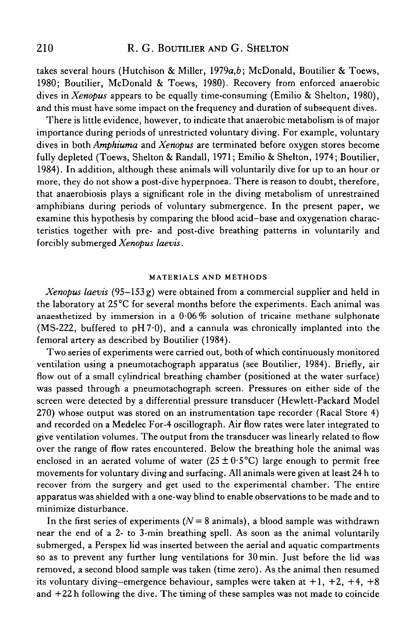takes several hours (Hutchison & Miller, *I919a,b;* McDonald, Boutilier & Toews, 1980; Boutilier, McDonald & Toews, 1980). Recovery from enforced anaerobic dives in *Xenopus* appears to be equally time-consuming (Emilio & Shelton, 1980), and this must have some impact on the frequency and duration of subsequent dives.

There is little evidence, however, to indicate that anaerobic metabolism is of major importance during periods of unrestricted voluntary diving. For example, voluntary dives in both *Amphiuma* and *Xenopus* are terminated before oxygen stores become fully depleted (Toews, Shelton & Randall, 1971; Emilio & Shelton, 1974; Boutilier, 1984). In addition, although these animals will voluntarily dive for up to an hour or more, they do not show a post-dive hyperpnoea. There is reason to doubt, therefore, that anaerobiosis plays a significant role in the diving metabolism of unrestrained amphibians during periods of voluntary submergence. In the present paper, we examine this hypothesis by comparing the blood acid-base and oxygenation characteristics together with pre- and post-dive breathing patterns in voluntarily and forcibly submerged *Xenopus laevis.*

### **MATERIALS AND METHODS**

*Xenopus laevis* (95-153 g) were obtained from a commercial supplier and held in the laboratory at 25°C for several months before the experiments. Each animal was anaesthetized by immersion in a  $0.06\%$  solution of tricaine methane sulphonate (MS-222, buffered to  $pH7.0$ ), and a cannula was chronically implanted into the femoral artery as described by Boutilier (1984).

Two series of experiments were carried out, both of which continuously monitored ventilation using a pneumotachograph apparatus (see Boutilier, 1984). Briefly, air flow out of a small cylindrical breathing chamber (positioned at the water surface) was passed through a pneumotachograph screen. Pressures on either side of the screen were detected by a differential pressure transducer (Hewlett-Packard Model 270) whose output was stored on an instrumentation tape recorder (Racal Store 4) and recorded on a Medelec For-4 oscillograph. Air flow rates were later integrated to give ventilation volumes. The output from the transducer was linearly related to flow over the range of flow rates encountered. Below the breathing hole the animal was enclosed in an aerated volume of water  $(25 \pm 0.5^{\circ}C)$  large enough to permit free movements for voluntary diving and surfacing. All animals were given at least 24 h to recover from the surgery and get used to the experimental chamber. The entire apparatus was shielded with a one-way blind to enable observations to be made and to minimize disturbance.

In the first series of experiments  $(N = 8 \text{ animals})$ , a blood sample was withdrawn near the end of a 2- to 3-min breathing spell. As soon as the animal voluntarily submerged, a Perspex lid was inserted between the aerial and aquatic compartments so as to prevent any further lung ventilations for 30min. Just before the lid was removed, a second blood sample was taken (time zero). As the animal then resumed its voluntary diving–emergence behaviour, samples were taken at  $+1$ ,  $+2$ ,  $+4$ ,  $+8$ and +22 h following the dive. The timing of these samples was not made to coincide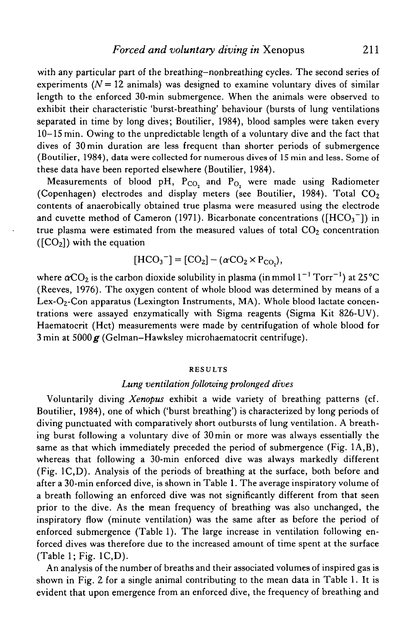with any particular part of the breathing-nonbreathing cycles. The second series of experiments  $(N = 12$  animals) was designed to examine voluntary dives of similar length to the enforced 30-min submergence. When the animals were observed to exhibit their characteristic 'burst-breathing' behaviour (bursts of lung ventilations separated in time by long dives; Boutilier, 1984), blood samples were taken every 10-15 min. Owing to the unpredictable length of a voluntary dive and the fact that dives of 30 min duration are less frequent than shorter periods of submergence (Boutilier, 1984), data were collected for numerous dives of 15 min and less. Some of these data have been reported elsewhere (Boutilier, 1984).

Measurements of blood pH,  $P_{CO_2}$  and  $P_{O_2}$  were made using Radiometer (Copenhagen) electrodes and display meters (see Boutilier, 1984). Total  $CO<sub>2</sub>$ contents of anaerobically obtained true plasma were measured using the electrode and cuvette method of Cameron (1971). Bicarbonate concentrations ( $[HCO<sub>3</sub><sup>-</sup>]$ ) in true plasma were estimated from the measured values of total  $CO<sub>2</sub>$  concentration  $(\text{[CO}_2])$  with the equation

$$
[\text{HCO}_3^-] = [\text{CO}_2] - (\alpha \text{CO}_2 \times \text{P}_{\text{CO}_2}),
$$

where  $\alpha\mathrm{CO}_2$  is the carbon dioxide solubility in plasma (in mmol  $1^{-1}\,\mathrm{Torr^{-1}}$ ) at 25 °C (Reeves, 1976). The oxygen content of whole blood was determined by means of a Lex- $O_2$ -Con apparatus (Lexington Instruments, MA). Whole blood lactate concentrations were assayed enzymatically with Sigma reagents (Sigma Kit 826-UV). Haematocrit (Hct) measurements were made by centrifugation of whole blood for  $3$  min at  $5000 g$  (Gelman–Hawksley microhaematocrit centrifuge).

#### RESULTS

### *Lung ventilation following prolonged dives*

Voluntarily diving *Xenopus* exhibit a wide variety of breathing patterns (cf. Boutilier, 1984), one of which ('burst breathing') is characterized by long periods of diving punctuated with comparatively short outbursts of lung ventilation. A breathing burst following a voluntary dive of 30 min or more was always essentially the same as that which immediately preceded the period of submergence (Fig. 1A,B), whereas that following a 30-min enforced dive was always markedly different (Fig. 1C,D). Analysis of the periods of breathing at the surface, both before and after a 30-min enforced dive, is shown in Table 1. The average inspiratory volume of a breath following an enforced dive was not significantly different from that seen prior to the dive. As the mean frequency of breathing was also unchanged, the inspiratory flow (minute ventilation) was the same after as before the period of enforced submergence (Table 1). The large increase in ventilation following enforced dives was therefore due to the increased amount of time spent at the surface (Table 1; Fig. 1C,D).

An analysis of the number of breaths and their associated volumes of inspired gas is shown in Fig. 2 for a single animal contributing to the mean data in Table 1. It is evident that upon emergence from an enforced dive, the frequency of breathing and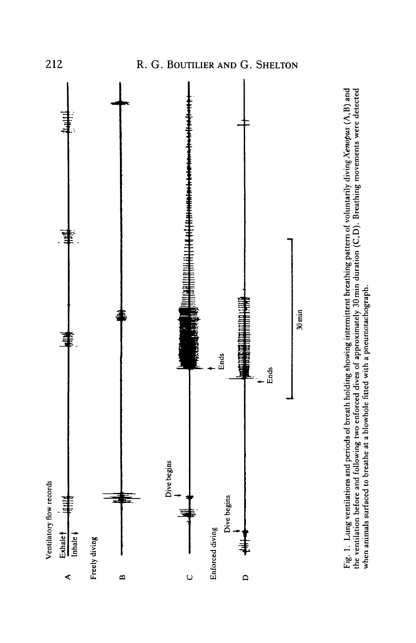



212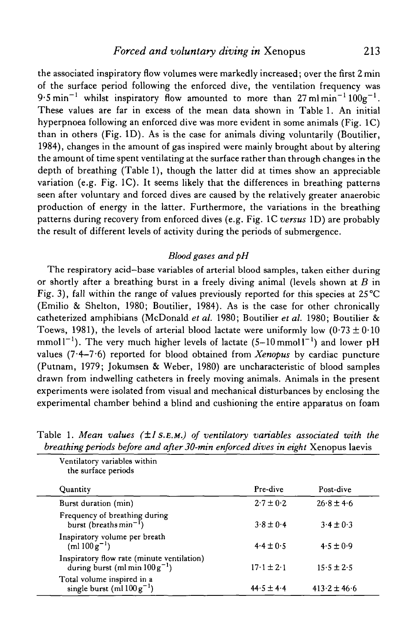the associated inspiratory flow volumes were markedly increased; over the first 2 min of the surface period following the enforced dive, the ventilation frequency was 9.5 min<sup>-1</sup> whilst inspiratory flow amounted to more than 27 ml min<sup>-1</sup>  $100g^{-1}$ . These values are far in excess of the mean data shown in Table 1. An initial hyperpnoea following an enforced dive was more evident in some animals (Fig. 1C) than in others (Fig. ID). As is the case for animals diving voluntarily (Boutilier, 1984), changes in the amount of gas inspired were mainly brought about by altering the amount of time spent ventilating at the surface rather than through changes in the depth of breathing (Table 1), though the latter did at times show an appreciable variation (e.g. Fig. 1C). It seems likely that the differences in breathing patterns seen after voluntary and forced dives are caused by the relatively greater anaerobic production of energy in the latter. Furthermore, the variations in the breathing patterns during recovery from enforced dives (e.g. Fig. 1C *versus* ID) are probably the result of different levels of activity during the periods of submergence.

# *Blood gases and pH*

The respiratory acid-base variables of arterial blood samples, taken either during or shortly after a breathing burst in a freely diving animal (levels shown at *B* in Fig. 3), fall within the range of values previously reported for this species at  $25^{\circ}$ C (Emilio & Shelton, 1980; Boutilier, 1984). As is the case for other chronically catheterized amphibians (McDonald *et al.* 1980; Boutilier *et al.* 1980; Boutilier & Toews, 1981), the levels of arterial blood lactate were uniformly low  $(0.73 \pm 0.10$ mmol  $l^{-1}$ ). The very much higher levels of lactate (5–10 mmol  $l^{-1}$ ) and lower pH values (7.4-7.6) reported for blood obtained from *Xenopus* by cardiac puncture (Putnam, 1979; Jokumsen & Weber, 1980) are uncharacteristic of blood samples drawn from indwelling catheters in freely moving animals. Animals in the present experiments were isolated from visual and mechanical disturbances by enclosing the experimental chamber behind a blind and cushioning the entire apparatus on foam

| Ventilatory variables within<br>the surface periods                               |                |                  |
|-----------------------------------------------------------------------------------|----------------|------------------|
| Quantity                                                                          | Pre-dive       | Post-dive        |
| Burst duration (min)                                                              | $2.7 \pm 0.2$  | $26.8 \pm 4.6$   |
| Frequency of breathing during<br>burst (breaths $min^{-1}$ )                      | $3.8 \pm 0.4$  | $3.4 \pm 0.3$    |
| Inspiratory volume per breath<br>$(ml 100 g^{-1})$                                | $4.4 \pm 0.5$  | $4.5 \pm 0.9$    |
| Inspiratory flow rate (minute ventilation)<br>during burst (ml min $100 g^{-1}$ ) | $17.1 \pm 2.1$ | $15.5 \pm 2.5$   |
| Total volume inspired in a<br>single burst (ml $100 g^{-1}$ )                     | $44.5 \pm 4.4$ | $413.2 \pm 46.6$ |

Table 1. *Mean values (±1 S.E.M.) of ventilatory variables associated with the breathing periods before and after 30-min enforced dives in eight* Xenopus laevis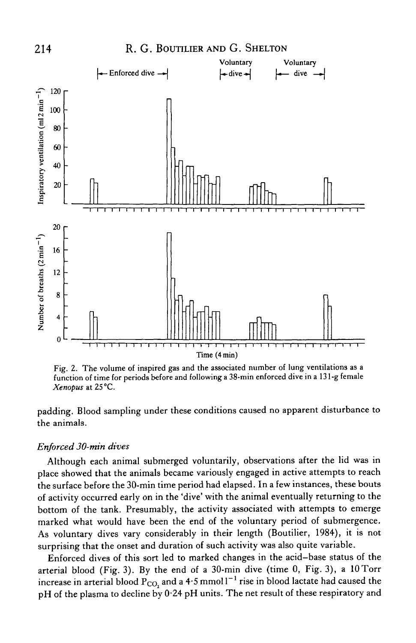

Fig. 2. The volume of inspired gas and the associated number of lung ventilations as a function of time for periods before and following a 38-min enforced dive in a 131 -g female *Xenopus* at 25°C.

padding. Blood sampling under these conditions caused no apparent disturbance to the animals.

### *Enforced 30-min dives*

Although each animal submerged voluntarily, observations after the lid was in place showed that the animals became variously engaged in active attempts to reach the surface before the 30-min time period had elapsed. In a few instances, these bouts of activity occurred early on in the 'dive' with the animal eventually returning to the bottom of the tank. Presumably, the activity associated with attempts to emerge marked what would have been the end of the voluntary period of submergence. As voluntary dives vary considerably in their length (Boutilier, 1984), it is not surprising that the onset and duration of such activity was also quite variable.

Enforced dives of this sort led to marked changes in the acid-base status of the arterial blood (Fig. 3). By the end of a 30-min dive (time 0, Fig. 3), a  $10$ Torr increase in arterial blood  $\rm P_{CO_2}$  and a 4.5 mmol l $^{-1}$  rise in blood lactate had caused the pH of the plasma to decline by 0-24 pH units. The net result of these respiratory and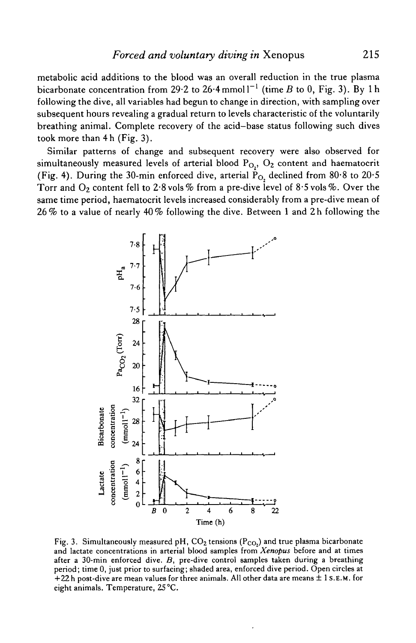metabolic acid additions to the blood was an overall reduction in the true plasma bicarbonate concentration from 29.2 to 26.4 mmol1<sup>-1</sup> (time B to 0, Fig. 3). By 1h following the dive, all variables had begun to change in direction, with sampling over subsequent hours revealing a gradual return to levels characteristic of the voluntarily breathing animal. Complete recovery of the acid-base status following such dives took more than 4h (Fig. 3).

Similar patterns of change and subsequent recovery were also observed for simultaneously measured levels of arterial blood  $P_{O<sub>2</sub>$ ,  $O<sub>2</sub>$  content and haematocrit (Fig. 4). During the 30-min enforced dive, arterial  $\dot{P}_{O}$ , declined from 80.8 to 20.5 Torr and  $\mathrm{O}_2$  content fell to 2.8 vols % from a pre-dive level of 8.5 vols %. Over the same time period, haematocrit levels increased considerably from a pre-dive mean of 26% to a value of nearly 40% following the dive. Between 1 and 2h following the



Fig. 3. Simultaneously measured pH,  $CO_2$  tensions ( $P_{CO_2}$ ) and true plasma bicarbonate and lactate concentrations in arterial blood samples from *Xenopus* before and at times after a 30-min enforced dive. *B,* pre-dive control samples taken during a breathing period; time 0, just prior to surfacing; shaded area, enforced dive period. Open circles at  $+22$  h post-dive are mean values for three animals. All other data are means  $\pm 1$  S.E.M. for eight animals. Temperature, 25 °C.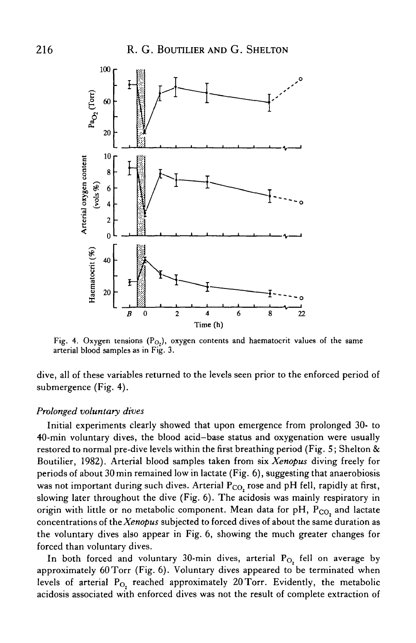

Fig. 4. Oxygen tensions  $(P_{O_2})$ , oxygen contents and haematocrit values of the same arterial blood samples as in Fig. 3.

dive, all of these variables returned to the levels seen prior to the enforced period of submergence (Fig. 4).

### *Prolonged voluntary dives*

Initial experiments clearly showed that upon emergence from prolonged 30- to 40-min voluntary dives, the blood acid—base status and oxygenation were usually restored to normal pre-dive levels within the first breathing period (Fig. 5; Shelton & Boutilier, 1982). Arterial blood samples taken from six *Xenopus* diving freely for periods of about 30 min remained low in lactate (Fig. 6), suggesting that anaerobiosis was not important during such dives. Arterial  $P_{CO}$ , rose and pH fell, rapidly at first, slowing later throughout the dive (Fig. 6). The acidosis was mainly respiratory in origin with little or no metabolic component. Mean data for  $pH$ ,  $P_{CO}$ , and lactate concentrations of *theXenopus* subjected to forced dives of about the same duration as the voluntary dives also appear in Fig. 6, showing the much greater changes for forced than voluntary dives.

In both forced and voluntary 30-min dives, arterial  $P_{O_2}$  fell on average by approximately 60Torr (Fig. 6). Voluntary dives appeared to be terminated when levels of arterial  $P_{O_2}$  reached approximately 20 Torr. Evidently, the metabolic acidosis associated with enforced dives was not the result of complete extraction of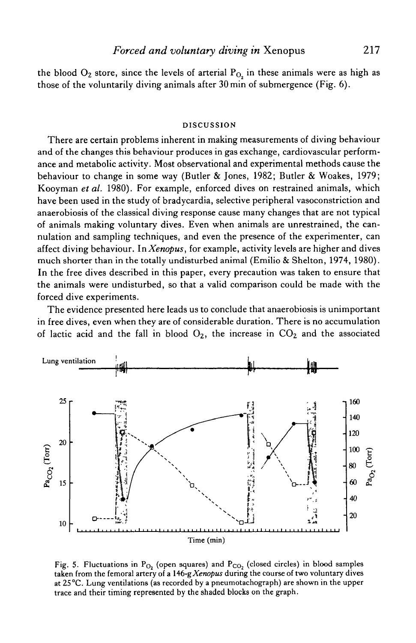the blood  $O_2$  store, since the levels of arterial  $P_{O_2}$  in these animals were as high as those of the voluntarily diving animals after 30min of submergence (Fig. 6).

### DISCUSSION

There are certain problems inherent in making measurements of diving behaviour and of the changes this behaviour produces in gas exchange, cardiovascular performance and metabolic activity. Most observational and experimental methods cause the behaviour to change in some way (Butler & Jones, 1982; Butler & Woakes, 1979; Kooyman *et al.* 1980). For example, enforced dives on restrained animals, which have been used in the study of bradycardia, selective peripheral vasoconstriction and anaerobiosis of the classical diving response cause many changes that are not typical of animals making voluntary dives. Even when animals are unrestrained, the cannulation and sampling techniques, and even the presence of the experimenter, can affect diving behaviour. In *Xenopus,* for example, activity levels are higher and dives much shorter than in the totally undisturbed animal (Emilio & Shelton, 1974, 1980). In the free dives described in this paper, every precaution was taken to ensure that the animals were undisturbed, so that a valid comparison could be made with the forced dive experiments.

The evidence presented here leads us to conclude that anaerobiosis is unimportant in free dives, even when they are of considerable duration. There is no accumulation of lactic acid and the fall in blood  $O_2$ , the increase in  $CO_2$  and the associated



Fig. 5. Fluctuations in  $P_{O_2}$  (open squares) and  $P_{CO_2}$  (closed circles) in blood samples taken from the femoral artery of a *146-gXenopus* during the course of two voluntary dives at 25 °C. Lung ventilations (as recorded by a pneumotachograph) are shown in the upper trace and their timing represented by the shaded blocks on the graph.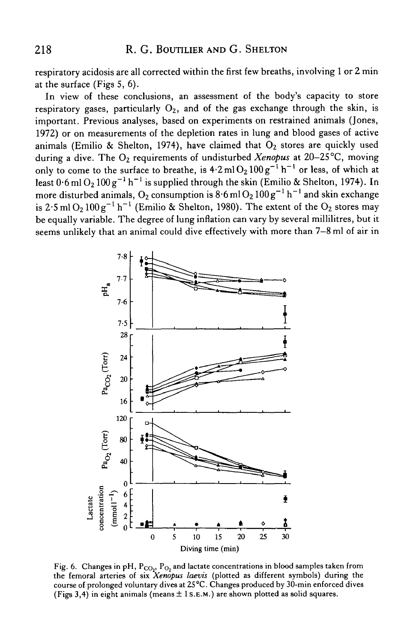respiratory acidosis are all corrected within the first few breaths, involving 1 or 2 min at the surface (Figs 5, 6).

In view of these conclusions, an assessment of the body's capacity to store respiratory gases, particularly  $O_2$ , and of the gas exchange through the skin, is important. Previous analyses, based on experiments on restrained animals (Jones, 1972) or on measurements of the depletion rates in lung and blood gases of active animals (Emilio & Shelton, 1974), have claimed that  $O_2$  stores are quickly used during a dive. The O<sub>2</sub> requirements of undisturbed *Xenopus* at 20–25°C, moving only to come to the surface to breathe, is  $4.2$  ml  $O_2 100 g^{-1} h^{-1}$  or less, of which at least  $0.6$  ml  $O_2 100 g^{-1} h^{-1}$  is supplied through the skin (Emilio & Shelton, 1974). In more disturbed animals, O<sub>2</sub> consumption is  $8.6$  ml O<sub>2</sub>  $100g^{-1}$  h<sup>-1</sup> and skin exchange is 2.5 ml O<sub>2</sub> 100 g<sup>-1</sup> h<sup>-1</sup> (Emilio & Shelton, 1980). The extent of the O<sub>2</sub> stores may be equally variable. The degree of lung inflation can vary by several millilitres, but it seems unlikely that an animal could dive effectively with more than 7-8 ml of air in



Fig. 6. Changes in pH,  $P_{CO_2}$ ,  $P_{O_2}$  and lactate concentrations in blood samples taken from the femoral arteries of six *Xenopus laevis* (plotted as different symbols) during the course of prolonged voluntary dives at 25 °C. Changes produced by 30-min enforced dives (Figs 3,4) in eight animals (means  $\pm$  1 S.E.M.) are shown plotted as solid squares.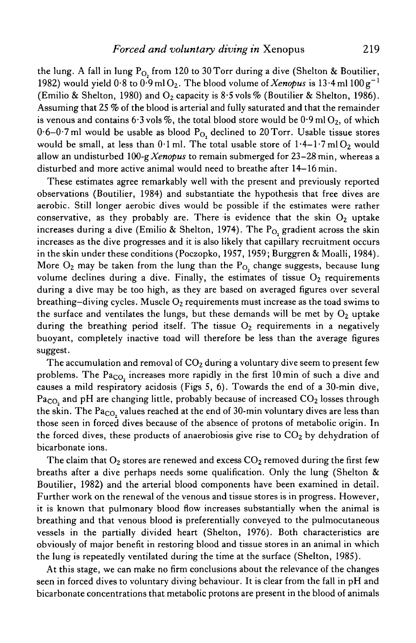the lung. A fall in lung  $P<sub>O</sub>$  from 120 to 30 Torr during a dive (Shelton & Boutilier, 1982) would yield  $0.8$  to  $0.9$  ml O<sub>2</sub>. The blood volume of *Xenopus* is 13.4 ml 100 g<sup>-1</sup> (Emilio & Shelton, 1980) and  $O_2$  capacity is 8.5 vols % (Boutilier & Shelton, 1986). Assuming that 25 *%* of the blood is arterial and fully saturated and that the remainder is venous and contains 6.3 vols %, the total blood store would be  $0.9$  ml O<sub>2</sub>, of which  $0.6-0.7$  ml would be usable as blood  $P_{O_2}$  declined to 20 Torr. Usable tissue stores would be small, at less than  $0.1$  ml. The total usable store of  $1.4-1.7$  ml O<sub>2</sub> would allow an undisturbed *\QO-gXenopus* to remain submerged for 23—28min, whereas a disturbed and more active animal would need to breathe after 14-16 min.

These estimates agree remarkably well with the present and previously reported observations (Boutilier, 1984) and substantiate the hypothesis that free dives are aerobic. Still longer aerobic dives would be possible if the estimates were rather conservative, as they probably are. There is evidence that the skin  $O<sub>2</sub>$  uptake increases during a dive (Emilio & Shelton, 1974). The  $P_{O_2}$  gradient across the skin increases as the dive progresses and it is also likely that capillary recruitment occurs in the skin under these conditions (Poczopko, 1957, 1959; Burggren & Moalli, 1984). More  $O_2$  may be taken from the lung than the  $P_{O_2}$  change suggests, because lung volume declines during a dive. Finally, the estimates of tissue  $O_2$  requirements during a dive may be too high, as they are based on averaged figures over several breathing–diving cycles. Muscle  $O_2$  requirements must increase as the toad swims to the surface and ventilates the lungs, but these demands will be met by  $O_2$  uptake during the breathing period itself. The tissue  $O_2$  requirements in a negatively buoyant, completely inactive toad will therefore be less than the average figures suggest.

The accumulation and removal of  $CO<sub>2</sub>$  during a voluntary dive seem to present few problems. The  $Pa_{CO}$  increases more rapidly in the first 10 min of such a dive and causes a mild respiratory acidosis (Figs 5, 6). Towards the end of a 30-min dive,  $Pa<sub>CO</sub>$  and pH are changing little, probably because of increased  $CO<sub>2</sub>$  losses through the skin. The  $Pa_{CO}$ , values reached at the end of 30-min voluntary dives are less than those seen in forced dives because of the absence of protons of metabolic origin. In the forced dives, these products of anaerobiosis give rise to  $CO<sub>2</sub>$  by dehydration of bicarbonate ions.

The claim that  $O_2$  stores are renewed and excess  $CO_2$  removed during the first few breaths after a dive perhaps needs some qualification. Only the lung (Shelton & Boutilier, 1982) and the arterial blood components have been examined in detail. Further work on the renewal of the venous and tissue stores is in progress. However, it is known that pulmonary blood flow increases substantially when the animal is breathing and that venous blood is preferentially conveyed to the pulmocutaneous vessels in the partially divided heart (Shelton, 1976). Both characteristics are obviously of major benefit in restoring blood and tissue stores in an animal in which the lung is repeatedly ventilated during the time at the surface (Shelton, 1985).

At this stage, we can make no firm conclusions about the relevance of the changes seen in forced dives to voluntary diving behaviour. It is clear from the fall in pH and bicarbonate concentrations that metabolic protons are present in the blood of animals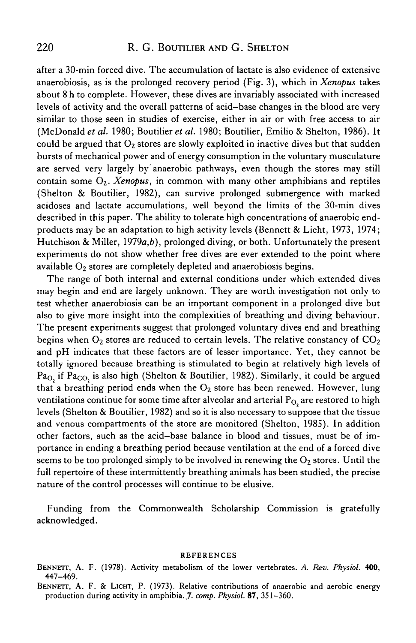# 220 R. G. BOUTILIER AND G. SHELTON

after a 30-min forced dive. The accumulation of lactate is also evidence of extensive anaerobiosis, as is the prolonged recovery period (Fig. 3), which *mXenopus* takes about 8 h to complete. However, these dives are invariably associated with increased levels of activity and the overall patterns of acid-base changes in the blood are very similar to those seen in studies of exercise, either in air or with free access to air (McDonald et al. 1980; Boutilier et al. 1980; Boutilier, Emilio & Shelton, 1986). It could be argued that  $O_2$  stores are slowly exploited in inactive dives but that sudden bursts of mechanical power and of energy consumption in the voluntary musculature are served very largely by anaerobic pathways, even though the stores may still contain some 02- *Xenopus,* in common with many other amphibians and reptiles (Shelton & Boutilier, 1982), can survive prolonged submergence with marked acidoses and lactate accumulations, well beyond the limits of the 30-min dives described in this paper. The ability to tolerate high concentrations of anaerobic endproducts may be an adaptation to high activity levels (Bennett & Licht, 1973, 1974; Hutchison & Miller, *I979a,b),* prolonged diving, or both. Unfortunately the present experiments do not show whether free dives are ever extended to the point where available  $O_2$  stores are completely depleted and anaerobiosis begins.

The range of both internal and external conditions under which extended dives may begin and end are largely unknown. They are worth investigation not only to test whether anaerobiosis can be an important component in a prolonged dive but also to give more insight into the complexities of breathing and diving behaviour. The present experiments suggest that prolonged voluntary dives end and breathing begins when  $O_2$  stores are reduced to certain levels. The relative constancy of  $CO_2$ and pH indicates that these factors are of lesser importance. Yet, they cannot be totally ignored because breathing is stimulated to begin at relatively high levels of Pa<sub>O,</sub> if Pa<sub>CO,</sub> is also high (Shelton & Boutilier, 1982). Similarly, it could be argued that a breathing period ends when the  $O_2$  store has been renewed. However, lung ventilations continue for some time after alveolar and arterial  $P_{O<sub>2</sub>}$  are restored to high levels (Shelton & Boutilier, 1982) and so it is also necessary to suppose that the tissue and venous compartments of the store are monitored (Shelton, 1985). In addition other factors, such as the acid-base balance in blood and tissues, must be of importance in ending a breathing period because ventilation at the end of a forced dive seems to be too prolonged simply to be involved in renewing the  $O<sub>2</sub>$  stores. Until the full repertoire of these intermittently breathing animals has been studied, the precise nature of the control processes will continue to be elusive.

Funding from the Commonwealth Scholarship Commission is gratefully acknowledged.

#### REFERENCES

- BENNETT, A. F. (1978). Activity metabolism of the lower vertebrates. *A. Rev. Physiol.* 400, 447-469.
- BENNETT, A. F. & LICHT, P. (1973). Relative contributions of anaerobic and aerobic energy production during activity in amphibia. *J. comp. Physiol.* 87, 351-360.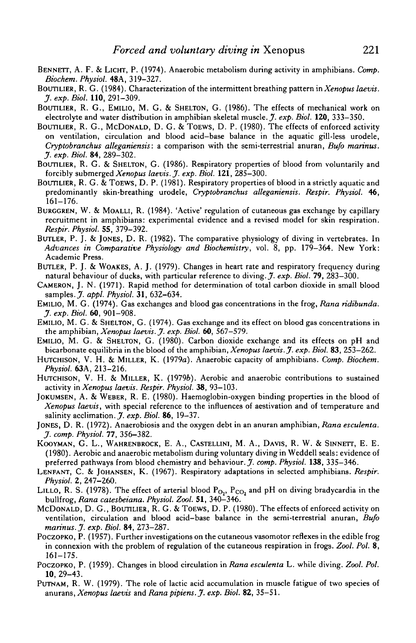- BENNETT, A. F. & LICHT, P. (1974). Anaerobic metabolism during activity in amphibians. *Comp. Biochem. Physiol.* **48A,** 319-327.
- BOUTILIER, R. G. (1984). Characterization of the intermittent breathing pattern *inXenopus laevis. J.exp.Biol.* 110,291-309.
- BOUTILIER, R. G., EMILIO, M. G. & SHELTON, G. (1986). The effects of mechanical work on electrolyte and water distribution in amphibian skeletal muscle. *J. exp. Biol.* **120,** 333-350.
- BOUTILIER, R. G., MCDONALD, D. G. & TOEWS, D. P. (1980). The effects of enforced activity on ventilation, circulation and blood acid-base balance in the aquatic gill-less urodele, *Cryptobranchus alleganiensis:* a comparison with the semi-terrestrial anuran, *Bufo marinus. J. exp. Biol.* 84, 289-302.
- BOUTILIER, R. G. & SHELTON, G. (1986). Respiratory properties of blood from voluntarily and forcibly submerged *Xenopus laevis. J. exp. Biol.* **121,** 285-300.
- BOUTILIER, R. G. & TOEWS, D. P. (1981). Respiratory properties of blood in a strictly aquatic and predominantly skin-breathing urodele, *Cryptobranchus alleganiensis. Respir. Physiol.* 46, 161-176.
- BURGGREN, W. & MOALLI, R. (1984). 'Active' regulation of cutaneous gas exchange by capillary recruitment in amphibians: experimental evidence and a revised model for skin respiration. *Respir. Physiol.* 55, 379-392.
- BUTLER, P. J. & JONES, D. R. (1982). The comparative physiology of diving in vertebrates. In *Advances in Comparative Physiology and Biochemistry*, vol. 8, pp. 179-364. New York: Academic Press.
- BUTLER, P. J. & WOAKES, A. J. (1979). Changes in heart rate and respiratory frequency during natural behaviour of ducks, with particular reference to diving. J. *exp. Biol.* 79, 283-300.
- CAMERON, J. N. (1971). Rapid method for determination of total carbon dioxide in small blood samples. J. *appl. Physiol.* **31,** 632-634.
- EMILIO, M. G. (1974). Gas exchanges and blood gas concentrations in the frog, *Rana ridibunda. J. exp. Biol.* 60, 901-908.
- EMILIO, M. G. & SHELTON, G. (1974). Gas exchange and its effect on blood gas concentrations in the amphibian, *Xenopus laevis. J. exp. Biol.* 60, 567-579.
- EMILIO, M. G. & SHELTON, G. (1980). Carbon dioxide exchange and its effects on pH and bicarbonate equilibria in the blood of the amphibian, *Xenopus laevis. J. exp. Biol.* **83,** 253-262.
- HUTCHISON, V. H. & MILLER, K. (1979a). Anaerobic capacity of amphibians. *Comp. Biochem. Physiol.* **63A,** 213-216.
- HUTCHISON, V. H. & MILLER, K. (1979b). Aerobic and anaerobic contributions to sustained activity in *Xenopus laevis. Respir. Physiol.* 38, 93-103.
- JOKUMSEN, A. & WEBER, R. E. (1980). Haemoglobin-oxygen binding properties in the blood of *Xenopus laevis,* with special reference to the influences of aestivation and of temperature and salinity acclimation. *J. exp. Biol.* 86, 19-37.
- JONES, D. R. (1972). Anaerobiosis and the oxygen debt in an anuran amphibian, *Rana esculenta. J. comp. Physiol.* 77, 356-382.
- KOOYMAN, G. L., WAHRENBROCK, E. A., CASTELLINI, M. A., DAVIS, R. W. & SINNETT, E. E. (1980). Aerobic and anaerobic metabolism during voluntary diving in Weddell seals: evidence of preferred pathways from blood chemistry and behaviour. *J. comp. Physiol.* **138,** 335-346.
- LENFANT, C. & JOHANSEN, K. (1967). Respiratory adaptations in selected amphibians. *Respir. Physiol.* 2, 247-260.
- LILLO, R. S. (1978). The effect of arterial blood  $P_{O_2}$ ,  $P_{CO_2}$  and pH on diving bradycardia in the bullfrog, *Rana catesbeiana. Physiol. Zool.* 51, 340—346.
- MCDONALD, D. G., BOUTILIER, R. G. & TOEWS, D. P. (1980). The effects of enforced activity on ventilation, circulation and blood acid-base balance in the semi-terrestrial anuran, *Bufo marinus. J. exp. Biol.* **84,** 273-287.
- POCZOPKO, P. (1957). Further investigations on the cutaneous vasomotor reflexes in the edible frog in connexion with the problem of regulation of the cutaneous respiration in frogs. *Zool. Pol.* 8, 161-175.
- POCZOPKO, P. (1959). Changes in blood circulation in *Rana esculenta* L. while diving. *Zool. Pol.* **10,** 29-43.
- PUTNAM, R. W. (1979). The role of lactic acid accumulation in muscle fatigue of two species of anurans, *Xenopus laevis* and *Rana pipiens. J. exp. Biol.* 82, 35-51.